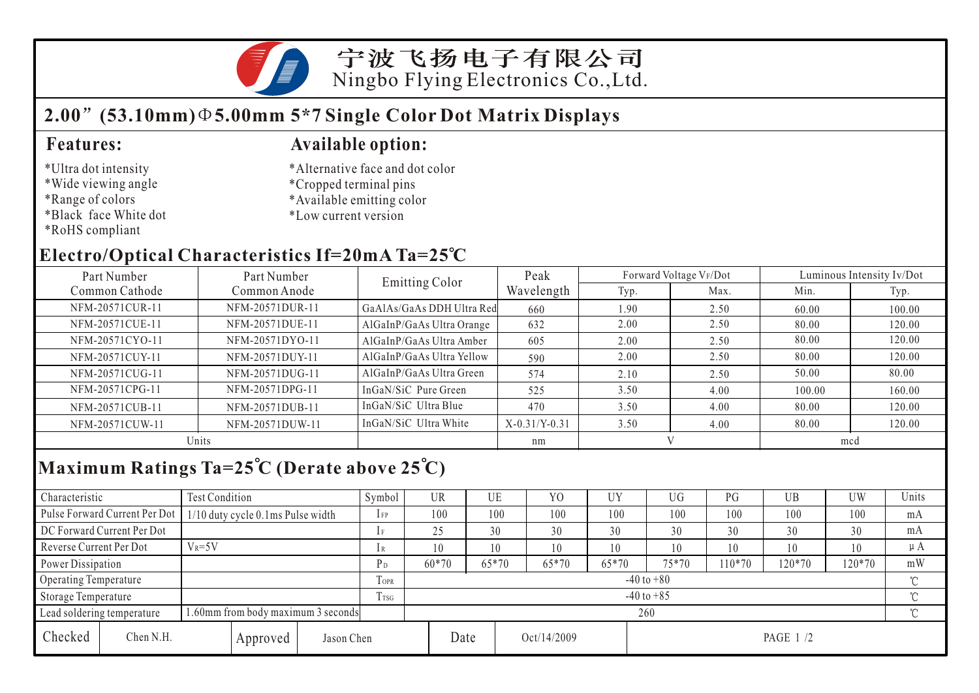

## **2.00 (53.10mm) 5.00mm 5\*7 Single Color Dot Matrix Displays**

### \*Ultra dot intensity

- \*Wide viewing angle
- \*Range of colors
- \*Black face White dot
- \*RoHS compliant

### **Features: Available option:**

- \*Alternative face and dot color
- \*Cropped terminal pins
- \*Available emitting color
- \*Low current version

## **Electro/Optical Characteristics If=20mA Ta=25 C**

| Part Number<br>Part Number |                 | <b>Emitting Color</b>     | Peak            |      | Forward Voltage VF/Dot | Luminous Intensity Iv/Dot |        |  |
|----------------------------|-----------------|---------------------------|-----------------|------|------------------------|---------------------------|--------|--|
| Common Cathode             | Common Anode    |                           | Wavelength      | Typ. | Max.                   | Min.                      | Typ.   |  |
| NFM-20571CUR-11            | NFM-20571DUR-11 | GaAlAs/GaAs DDH Ultra Red | 660             | 1.90 | 2.50                   | 60.00                     | 100.00 |  |
| NFM-20571CUE-11            | NFM-20571DUE-11 | AlGaInP/GaAs Ultra Orange | 632             | 2.00 | 2.50                   | 80.00                     | 120.00 |  |
| NFM-20571CYO-11            | NFM-20571DYO-11 | AlGaInP/GaAs Ultra Amber  | 605             | 2.00 | 2.50                   | 80.00                     | 120.00 |  |
| NFM-20571CUY-11            | NFM-20571DUY-11 | AlGaInP/GaAs Ultra Yellow | 590             | 2.00 | 2.50                   | 80.00                     | 120.00 |  |
| NFM-20571CUG-11            | NFM-20571DUG-11 | AlGaInP/GaAs Ultra Green  | 574             | 2.10 | 2.50                   | 50.00                     | 80.00  |  |
| NFM-20571CPG-11            | NFM-20571DPG-11 | InGaN/SiC Pure Green      | 525             | 3.50 | 4.00                   | 100.00                    | 160.00 |  |
| NFM-20571CUB-11            | NFM-20571DUB-11 | InGaN/SiC Ultra Blue      | 470             | 3.50 | 4.00                   | 80.00                     | 120.00 |  |
| NFM-20571CUW-11            | NFM-20571DUW-11 | InGaN/SiC Ultra White     | $X-0.31/Y-0.31$ | 3.50 | 4.00                   | 80.00                     | 120.00 |  |
|                            | Units           |                           | nm              |      |                        | mcd                       |        |  |

# **Maximum Ratings Ta=25 C (Derate above 25 C)**

| Characteristic                                                  |                               | Test Condition                    |                |                         | Symbol         | UR      |       | UE    | Y <sub>0</sub> | UY      | UG     | PG       | UB  | UW       | Units |  |
|-----------------------------------------------------------------|-------------------------------|-----------------------------------|----------------|-------------------------|----------------|---------|-------|-------|----------------|---------|--------|----------|-----|----------|-------|--|
|                                                                 | Pulse Forward Current Per Dot | 1/10 duty cycle 0.1ms Pulse width |                |                         | $1$ FP         | 100     |       | 100   | 100            | 100     | 100    | 100      | 100 | 100      | mA    |  |
| DC Forward Current Per Dot                                      |                               |                                   |                | 1F                      | 25             |         | 30    | 30    | 30             | 30      | 30     | 30       | 30  | mA       |       |  |
| Reverse Current Per Dot                                         |                               | $V_R = 5V$                        |                |                         | 1R             | 10      |       | 10    | 10             | 10      | 10     | 10       | 10  | 10       | μA    |  |
| Power Dissipation                                               |                               |                                   | P <sub>D</sub> | 60*70                   |                | $65*70$ | 65*70 | 65*70 | 75*70          | $10*70$ | 120*70 | 120*70   | mW  |          |       |  |
| Operating Temperature                                           |                               |                                   | TOPR           | $-40$ to $+80$          |                |         |       |       |                |         |        |          |     |          |       |  |
| Storage Temperature                                             |                               |                                   |                | Trsg                    | $-40$ to $+85$ |         |       |       |                |         |        |          |     | $\gamma$ |       |  |
| .60mm from body maximum 3 seconds<br>Lead soldering temperature |                               |                                   |                | $\gamma^{\circ}$<br>260 |                |         |       |       |                |         |        |          |     |          |       |  |
| Checked                                                         | Chen N.H.                     |                                   | Approved       | Jason Chen              |                |         | Date  |       | Oct/14/2009    |         |        | PAGE 1/2 |     |          |       |  |